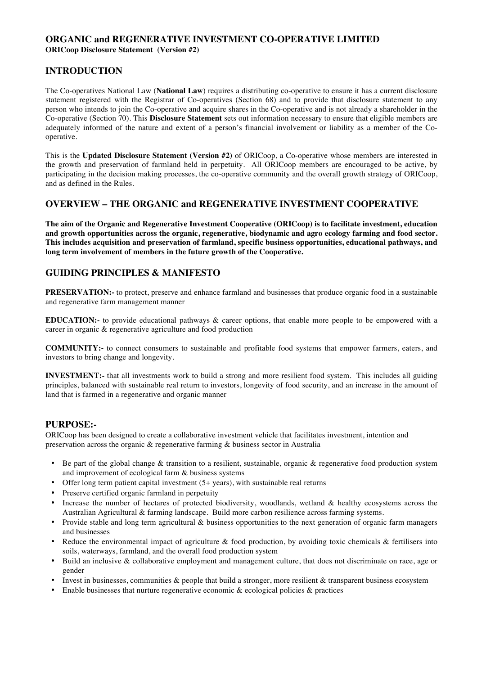# **ORGANIC and REGENERATIVE INVESTMENT CO-OPERATIVE LIMITED**

**ORICoop Disclosure Statement (Version #2)**

## **INTRODUCTION**

The Co-operatives National Law (**National Law**) requires a distributing co-operative to ensure it has a current disclosure statement registered with the Registrar of Co-operatives (Section 68) and to provide that disclosure statement to any person who intends to join the Co-operative and acquire shares in the Co-operative and is not already a shareholder in the Co-operative (Section 70). This **Disclosure Statement** sets out information necessary to ensure that eligible members are adequately informed of the nature and extent of a person's financial involvement or liability as a member of the Cooperative.

This is the **Updated Disclosure Statement (Version #2)** of ORICoop, a Co-operative whose members are interested in the growth and preservation of farmland held in perpetuity. All ORICoop members are encouraged to be active, by participating in the decision making processes, the co-operative community and the overall growth strategy of ORICoop, and as defined in the Rules.

## **OVERVIEW – THE ORGANIC and REGENERATIVE INVESTMENT COOPERATIVE**

**The aim of the Organic and Regenerative Investment Cooperative (ORICoop) is to facilitate investment, education and growth opportunities across the organic, regenerative, biodynamic and agro ecology farming and food sector. This includes acquisition and preservation of farmland, specific business opportunities, educational pathways, and long term involvement of members in the future growth of the Cooperative.**

## **GUIDING PRINCIPLES & MANIFESTO**

**PRESERVATION:-** to protect, preserve and enhance farmland and businesses that produce organic food in a sustainable and regenerative farm management manner

**EDUCATION:-** to provide educational pathways & career options, that enable more people to be empowered with a career in organic & regenerative agriculture and food production

**COMMUNITY:-** to connect consumers to sustainable and profitable food systems that empower farmers, eaters, and investors to bring change and longevity.

**INVESTMENT:-** that all investments work to build a strong and more resilient food system. This includes all guiding principles, balanced with sustainable real return to investors, longevity of food security, and an increase in the amount of land that is farmed in a regenerative and organic manner

## **PURPOSE:-**

ORICoop has been designed to create a collaborative investment vehicle that facilitates investment, intention and preservation across the organic & regenerative farming & business sector in Australia

- Be part of the global change & transition to a resilient, sustainable, organic & regenerative food production system and improvement of ecological farm & business systems
- Offer long term patient capital investment  $(5+)$  years), with sustainable real returns
- Preserve certified organic farmland in perpetuity
- Increase the number of hectares of protected biodiversity, woodlands, wetland  $\&$  healthy ecosystems across the Australian Agricultural & farming landscape. Build more carbon resilience across farming systems.
- Provide stable and long term agricultural & business opportunities to the next generation of organic farm managers and businesses
- Reduce the environmental impact of agriculture  $\&$  food production, by avoiding toxic chemicals  $\&$  fertilisers into soils, waterways, farmland, and the overall food production system
- Build an inclusive & collaborative employment and management culture, that does not discriminate on race, age or gender
- Invest in businesses, communities & people that build a stronger, more resilient & transparent business ecosystem
- Enable businesses that nurture regenerative economic  $\&$  ecological policies  $\&$  practices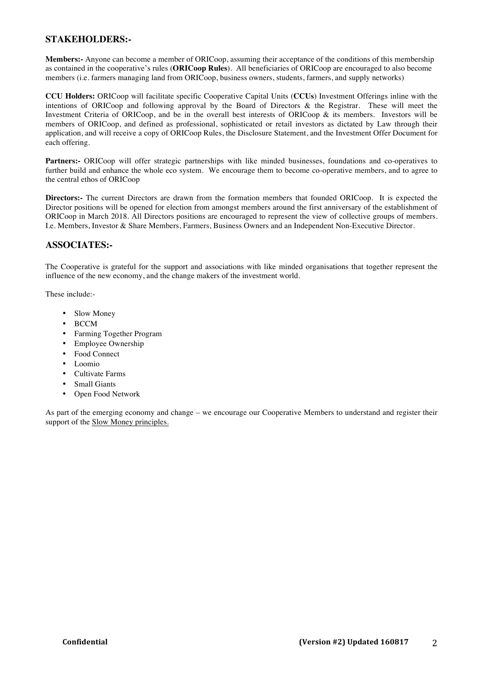## **STAKEHOLDERS:-**

**Members:-** Anyone can become a member of ORICoop, assuming their acceptance of the conditions of this membership as contained in the cooperative's rules (**ORICoop Rules**). All beneficiaries of ORICoop are encouraged to also become members (i.e. farmers managing land from ORICoop, business owners, students, farmers, and supply networks)

**CCU Holders:** ORICoop will facilitate specific Cooperative Capital Units (**CCUs**) Investment Offerings inline with the intentions of ORICoop and following approval by the Board of Directors & the Registrar. These will meet the Investment Criteria of ORICoop, and be in the overall best interests of ORICoop & its members. Investors will be members of ORICoop, and defined as professional, sophisticated or retail investors as dictated by Law through their application, and will receive a copy of ORICoop Rules, the Disclosure Statement, and the Investment Offer Document for each offering.

**Partners:-** ORICoop will offer strategic partnerships with like minded businesses, foundations and co-operatives to further build and enhance the whole eco system. We encourage them to become co-operative members, and to agree to the central ethos of ORICoop

**Directors:-** The current Directors are drawn from the formation members that founded ORICoop. It is expected the Director positions will be opened for election from amongst members around the first anniversary of the establishment of ORICoop in March 2018. All Directors positions are encouraged to represent the view of collective groups of members. I.e. Members, Investor & Share Members, Farmers, Business Owners and an Independent Non-Executive Director.

## **ASSOCIATES:-**

The Cooperative is grateful for the support and associations with like minded organisations that together represent the influence of the new economy, and the change makers of the investment world.

These include:-

- Slow Money
- BCCM
- Farming Together Program
- Employee Ownership
- Food Connect
- Loomio
- Cultivate Farms
- **Small Giants**
- Open Food Network

As part of the emerging economy and change – we encourage our Cooperative Members to understand and register their support of the Slow Money principles.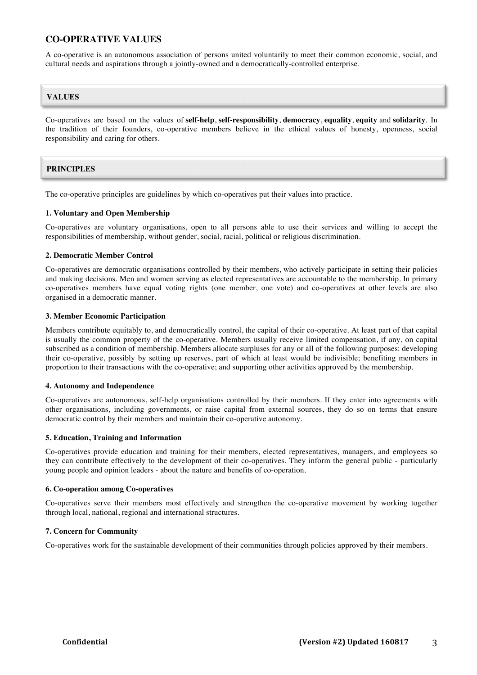## **CO-OPERATIVE VALUES**

A co-operative is an autonomous association of persons united voluntarily to meet their common economic, social, and cultural needs and aspirations through a jointly-owned and a democratically-controlled enterprise.

## **VALUES**

Co-operatives are based on the values of **self-help**, **self-responsibility**, **democracy**, **equality**, **equity** and **solidarity**. In the tradition of their founders, co-operative members believe in the ethical values of honesty, openness, social responsibility and caring for others.

## **PRINCIPLES**

The co-operative principles are guidelines by which co-operatives put their values into practice.

#### **1. Voluntary and Open Membership**

Co-operatives are voluntary organisations, open to all persons able to use their services and willing to accept the responsibilities of membership, without gender, social, racial, political or religious discrimination.

#### **2. Democratic Member Control**

Co-operatives are democratic organisations controlled by their members, who actively participate in setting their policies and making decisions. Men and women serving as elected representatives are accountable to the membership. In primary co-operatives members have equal voting rights (one member, one vote) and co-operatives at other levels are also organised in a democratic manner.

#### **3. Member Economic Participation**

Members contribute equitably to, and democratically control, the capital of their co-operative. At least part of that capital is usually the common property of the co-operative. Members usually receive limited compensation, if any, on capital subscribed as a condition of membership. Members allocate surpluses for any or all of the following purposes: developing their co-operative, possibly by setting up reserves, part of which at least would be indivisible; benefiting members in proportion to their transactions with the co-operative; and supporting other activities approved by the membership.

#### **4. Autonomy and Independence**

Co-operatives are autonomous, self-help organisations controlled by their members. If they enter into agreements with other organisations, including governments, or raise capital from external sources, they do so on terms that ensure democratic control by their members and maintain their co-operative autonomy.

#### **5. Education, Training and Information**

Co-operatives provide education and training for their members, elected representatives, managers, and employees so they can contribute effectively to the development of their co-operatives. They inform the general public - particularly young people and opinion leaders - about the nature and benefits of co-operation.

#### **6. Co-operation among Co-operatives**

Co-operatives serve their members most effectively and strengthen the co-operative movement by working together through local, national, regional and international structures.

#### **7. Concern for Community**

Co-operatives work for the sustainable development of their communities through policies approved by their members.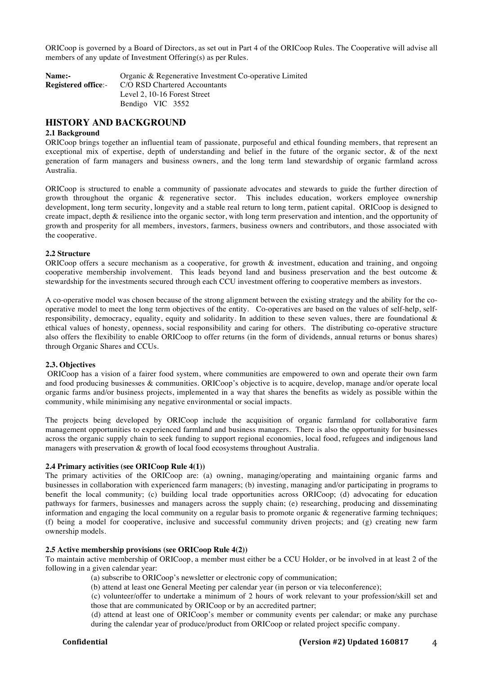ORICoop is governed by a Board of Directors, as set out in Part 4 of the ORICoop Rules. The Cooperative will advise all members of any update of Investment Offering(s) as per Rules.

| <b>Name:-</b>              | Organic & Regenerative Investment Co-operative Limited |
|----------------------------|--------------------------------------------------------|
| <b>Registered office:-</b> | C/O RSD Chartered Accountants                          |
|                            | Level 2, 10-16 Forest Street                           |
|                            | Bendigo VIC 3552                                       |

## **HISTORY AND BACKGROUND**

#### **2.1 Background**

ORICoop brings together an influential team of passionate, purposeful and ethical founding members, that represent an exceptional mix of expertise, depth of understanding and belief in the future of the organic sector, & of the next generation of farm managers and business owners, and the long term land stewardship of organic farmland across Australia.

ORICoop is structured to enable a community of passionate advocates and stewards to guide the further direction of growth throughout the organic & regenerative sector. This includes education, workers employee ownership development, long term security, longevity and a stable real return to long term, patient capital. ORICoop is designed to create impact, depth & resilience into the organic sector, with long term preservation and intention, and the opportunity of growth and prosperity for all members, investors, farmers, business owners and contributors, and those associated with the cooperative.

#### **2.2 Structure**

ORICoop offers a secure mechanism as a cooperative, for growth & investment, education and training, and ongoing cooperative membership involvement. This leads beyond land and business preservation and the best outcome & stewardship for the investments secured through each CCU investment offering to cooperative members as investors.

A co-operative model was chosen because of the strong alignment between the existing strategy and the ability for the cooperative model to meet the long term objectives of the entity. Co-operatives are based on the values of self-help, selfresponsibility, democracy, equality, equity and solidarity. In addition to these seven values, there are foundational & ethical values of honesty, openness, social responsibility and caring for others. The distributing co-operative structure also offers the flexibility to enable ORICoop to offer returns (in the form of dividends, annual returns or bonus shares) through Organic Shares and CCUs.

#### **2.3. Objectives**

ORICoop has a vision of a fairer food system, where communities are empowered to own and operate their own farm and food producing businesses & communities. ORICoop's objective is to acquire, develop, manage and/or operate local organic farms and/or business projects, implemented in a way that shares the benefits as widely as possible within the community, while minimising any negative environmental or social impacts.

The projects being developed by ORICoop include the acquisition of organic farmland for collaborative farm management opportunities to experienced farmland and business managers. There is also the opportunity for businesses across the organic supply chain to seek funding to support regional economies, local food, refugees and indigenous land managers with preservation & growth of local food ecosystems throughout Australia.

#### **2.4 Primary activities (see ORICoop Rule 4(1))**

The primary activities of the ORICoop are: (a) owning, managing/operating and maintaining organic farms and businesses in collaboration with experienced farm managers; (b) investing, managing and/or participating in programs to benefit the local community; (c) building local trade opportunities across ORICoop; (d) advocating for education pathways for farmers, businesses and managers across the supply chain; (e) researching, producing and disseminating information and engaging the local community on a regular basis to promote organic & regenerative farming techniques; (f) being a model for cooperative, inclusive and successful community driven projects; and (g) creating new farm ownership models.

#### **2.5 Active membership provisions (see ORICoop Rule 4(2))**

To maintain active membership of ORICoop, a member must either be a CCU Holder, or be involved in at least 2 of the following in a given calendar year:

(a) subscribe to ORICoop's newsletter or electronic copy of communication;

(b) attend at least one General Meeting per calendar year (in person or via teleconference);

(c) volunteer/offer to undertake a minimum of 2 hours of work relevant to your profession/skill set and those that are communicated by ORICoop or by an accredited partner;

(d) attend at least one of ORICoop's member or community events per calendar; or make any purchase during the calendar year of produce/product from ORICoop or related project specific company.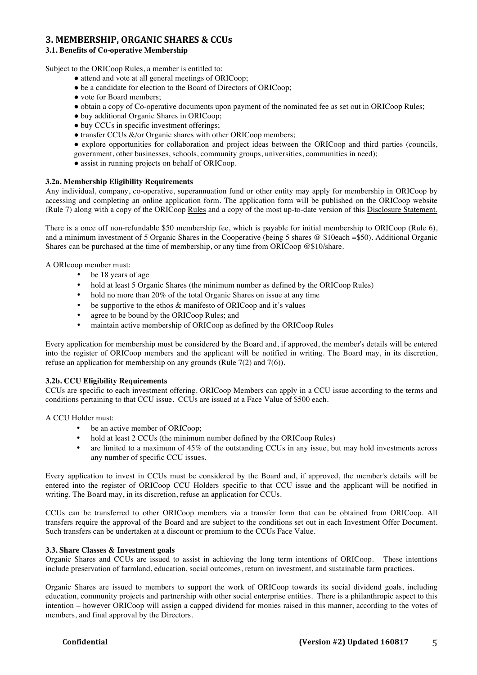## **3. MEMBERSHIP, ORGANIC SHARES & CCUs**

## **3.1. Benefits of Co-operative Membership**

Subject to the ORICoop Rules, a member is entitled to:

- attend and vote at all general meetings of ORICoop;
- be a candidate for election to the Board of Directors of ORICoop;
- vote for Board members:
- obtain a copy of Co-operative documents upon payment of the nominated fee as set out in ORICoop Rules;
- buy additional Organic Shares in ORICoop;
- buy CCUs in specific investment offerings;
- transfer CCUs &/or Organic shares with other ORICoop members;
- explore opportunities for collaboration and project ideas between the ORICoop and third parties (councils, government, other businesses, schools, community groups, universities, communities in need);
- assist in running projects on behalf of ORICoop.

#### **3.2a. Membership Eligibility Requirements**

Any individual, company, co-operative, superannuation fund or other entity may apply for membership in ORICoop by accessing and completing an online application form. The application form will be published on the ORICoop website (Rule 7) along with a copy of the ORICoop Rules and a copy of the most up-to-date version of this Disclosure Statement.

There is a once off non-refundable \$50 membership fee, which is payable for initial membership to ORICoop (Rule 6), and a minimum investment of 5 Organic Shares in the Cooperative (being 5 shares @ \$10each =\$50). Additional Organic Shares can be purchased at the time of membership, or any time from ORICoop @\$10/share.

A ORIcoop member must:

- be 18 years of age
- hold at least 5 Organic Shares (the minimum number as defined by the ORICoop Rules)
- hold no more than 20% of the total Organic Shares on issue at any time
- be supportive to the ethos  $\&$  manifesto of ORICoop and it's values
- agree to be bound by the ORICoop Rules; and
- maintain active membership of ORICoop as defined by the ORICoop Rules

Every application for membership must be considered by the Board and, if approved, the member's details will be entered into the register of ORICoop members and the applicant will be notified in writing. The Board may, in its discretion, refuse an application for membership on any grounds (Rule 7(2) and 7(6)).

#### **3.2b. CCU Eligibility Requirements**

CCUs are specific to each investment offering. ORICoop Members can apply in a CCU issue according to the terms and conditions pertaining to that CCU issue. CCUs are issued at a Face Value of \$500 each.

A CCU Holder must:

- be an active member of ORICoop;
- hold at least 2 CCUs (the minimum number defined by the ORICoop Rules)
- are limited to a maximum of 45% of the outstanding CCUs in any issue, but may hold investments across any number of specific CCU issues.

Every application to invest in CCUs must be considered by the Board and, if approved, the member's details will be entered into the register of ORICoop CCU Holders specific to that CCU issue and the applicant will be notified in writing. The Board may, in its discretion, refuse an application for CCUs.

CCUs can be transferred to other ORICoop members via a transfer form that can be obtained from ORICoop. All transfers require the approval of the Board and are subject to the conditions set out in each Investment Offer Document. Such transfers can be undertaken at a discount or premium to the CCUs Face Value.

#### **3.3. Share Classes & Investment goals**

Organic Shares and CCUs are issued to assist in achieving the long term intentions of ORICoop. These intentions include preservation of farmland, education, social outcomes, return on investment, and sustainable farm practices.

Organic Shares are issued to members to support the work of ORICoop towards its social dividend goals, including education, community projects and partnership with other social enterprise entities. There is a philanthropic aspect to this intention – however ORICoop will assign a capped dividend for monies raised in this manner, according to the votes of members, and final approval by the Directors.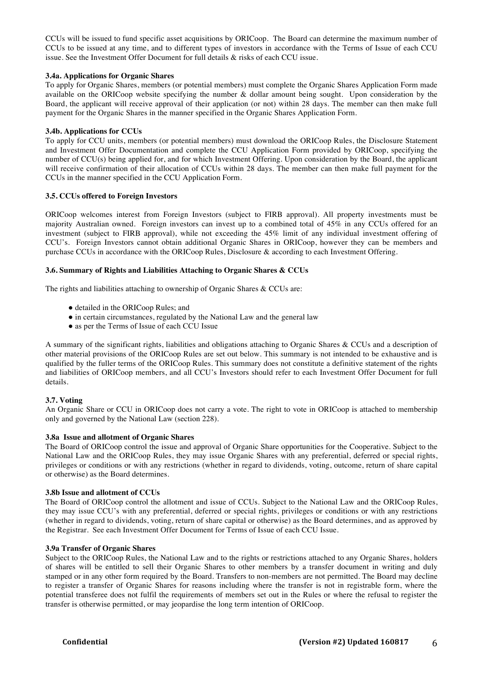CCUs will be issued to fund specific asset acquisitions by ORICoop. The Board can determine the maximum number of CCUs to be issued at any time, and to different types of investors in accordance with the Terms of Issue of each CCU issue. See the Investment Offer Document for full details & risks of each CCU issue.

#### **3.4a. Applications for Organic Shares**

To apply for Organic Shares, members (or potential members) must complete the Organic Shares Application Form made available on the ORICoop website specifying the number & dollar amount being sought. Upon consideration by the Board, the applicant will receive approval of their application (or not) within 28 days. The member can then make full payment for the Organic Shares in the manner specified in the Organic Shares Application Form.

#### **3.4b. Applications for CCUs**

To apply for CCU units, members (or potential members) must download the ORICoop Rules, the Disclosure Statement and Investment Offer Documentation and complete the CCU Application Form provided by ORICoop, specifying the number of CCU(s) being applied for, and for which Investment Offering. Upon consideration by the Board, the applicant will receive confirmation of their allocation of CCUs within 28 days. The member can then make full payment for the CCUs in the manner specified in the CCU Application Form.

#### **3.5. CCUs offered to Foreign Investors**

ORICoop welcomes interest from Foreign Investors (subject to FIRB approval). All property investments must be majority Australian owned. Foreign investors can invest up to a combined total of 45% in any CCUs offered for an investment (subject to FIRB approval), while not exceeding the 45% limit of any individual investment offering of CCU's. Foreign Investors cannot obtain additional Organic Shares in ORICoop, however they can be members and purchase CCUs in accordance with the ORICoop Rules, Disclosure & according to each Investment Offering.

#### **3.6. Summary of Rights and Liabilities Attaching to Organic Shares & CCUs**

The rights and liabilities attaching to ownership of Organic Shares & CCUs are:

- detailed in the ORICoop Rules; and
- in certain circumstances, regulated by the National Law and the general law
- as per the Terms of Issue of each CCU Issue

A summary of the significant rights, liabilities and obligations attaching to Organic Shares & CCUs and a description of other material provisions of the ORICoop Rules are set out below. This summary is not intended to be exhaustive and is qualified by the fuller terms of the ORICoop Rules. This summary does not constitute a definitive statement of the rights and liabilities of ORICoop members, and all CCU's Investors should refer to each Investment Offer Document for full details.

#### **3.7. Voting**

An Organic Share or CCU in ORICoop does not carry a vote. The right to vote in ORICoop is attached to membership only and governed by the National Law (section 228).

#### **3.8a Issue and allotment of Organic Shares**

The Board of ORICoop control the issue and approval of Organic Share opportunities for the Cooperative. Subject to the National Law and the ORICoop Rules, they may issue Organic Shares with any preferential, deferred or special rights, privileges or conditions or with any restrictions (whether in regard to dividends, voting, outcome, return of share capital or otherwise) as the Board determines.

#### **3.8b Issue and allotment of CCUs**

The Board of ORICoop control the allotment and issue of CCUs. Subject to the National Law and the ORICoop Rules, they may issue CCU's with any preferential, deferred or special rights, privileges or conditions or with any restrictions (whether in regard to dividends, voting, return of share capital or otherwise) as the Board determines, and as approved by the Registrar. See each Investment Offer Document for Terms of Issue of each CCU Issue.

#### **3.9a Transfer of Organic Shares**

Subject to the ORICoop Rules, the National Law and to the rights or restrictions attached to any Organic Shares, holders of shares will be entitled to sell their Organic Shares to other members by a transfer document in writing and duly stamped or in any other form required by the Board. Transfers to non-members are not permitted. The Board may decline to register a transfer of Organic Shares for reasons including where the transfer is not in registrable form, where the potential transferee does not fulfil the requirements of members set out in the Rules or where the refusal to register the transfer is otherwise permitted, or may jeopardise the long term intention of ORICoop.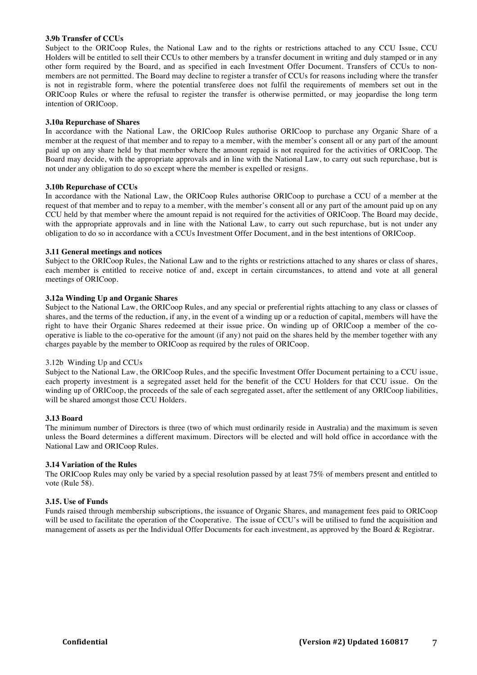#### **3.9b Transfer of CCUs**

Subject to the ORICoop Rules, the National Law and to the rights or restrictions attached to any CCU Issue, CCU Holders will be entitled to sell their CCUs to other members by a transfer document in writing and duly stamped or in any other form required by the Board, and as specified in each Investment Offer Document. Transfers of CCUs to nonmembers are not permitted. The Board may decline to register a transfer of CCUs for reasons including where the transfer is not in registrable form, where the potential transferee does not fulfil the requirements of members set out in the ORICoop Rules or where the refusal to register the transfer is otherwise permitted, or may jeopardise the long term intention of ORICoop.

#### **3.10a Repurchase of Shares**

In accordance with the National Law, the ORICoop Rules authorise ORICoop to purchase any Organic Share of a member at the request of that member and to repay to a member, with the member's consent all or any part of the amount paid up on any share held by that member where the amount repaid is not required for the activities of ORICoop. The Board may decide, with the appropriate approvals and in line with the National Law, to carry out such repurchase, but is not under any obligation to do so except where the member is expelled or resigns.

#### **3.10b Repurchase of CCUs**

In accordance with the National Law, the ORICoop Rules authorise ORICoop to purchase a CCU of a member at the request of that member and to repay to a member, with the member's consent all or any part of the amount paid up on any CCU held by that member where the amount repaid is not required for the activities of ORICoop. The Board may decide, with the appropriate approvals and in line with the National Law, to carry out such repurchase, but is not under any obligation to do so in accordance with a CCUs Investment Offer Document, and in the best intentions of ORICoop.

#### **3.11 General meetings and notices**

Subject to the ORICoop Rules, the National Law and to the rights or restrictions attached to any shares or class of shares, each member is entitled to receive notice of and, except in certain circumstances, to attend and vote at all general meetings of ORICoop.

#### **3.12a Winding Up and Organic Shares**

Subject to the National Law, the ORICoop Rules, and any special or preferential rights attaching to any class or classes of shares, and the terms of the reduction, if any, in the event of a winding up or a reduction of capital, members will have the right to have their Organic Shares redeemed at their issue price. On winding up of ORICoop a member of the cooperative is liable to the co-operative for the amount (if any) not paid on the shares held by the member together with any charges payable by the member to ORICoop as required by the rules of ORICoop.

#### 3.12b Winding Up and CCUs

Subject to the National Law, the ORICoop Rules, and the specific Investment Offer Document pertaining to a CCU issue, each property investment is a segregated asset held for the benefit of the CCU Holders for that CCU issue. On the winding up of ORICoop, the proceeds of the sale of each segregated asset, after the settlement of any ORICoop liabilities, will be shared amongst those CCU Holders.

#### **3.13 Board**

The minimum number of Directors is three (two of which must ordinarily reside in Australia) and the maximum is seven unless the Board determines a different maximum. Directors will be elected and will hold office in accordance with the National Law and ORICoop Rules.

#### **3.14 Variation of the Rules**

The ORICoop Rules may only be varied by a special resolution passed by at least 75% of members present and entitled to vote (Rule 58).

#### **3.15. Use of Funds**

Funds raised through membership subscriptions, the issuance of Organic Shares, and management fees paid to ORICoop will be used to facilitate the operation of the Cooperative. The issue of CCU's will be utilised to fund the acquisition and management of assets as per the Individual Offer Documents for each investment, as approved by the Board & Registrar.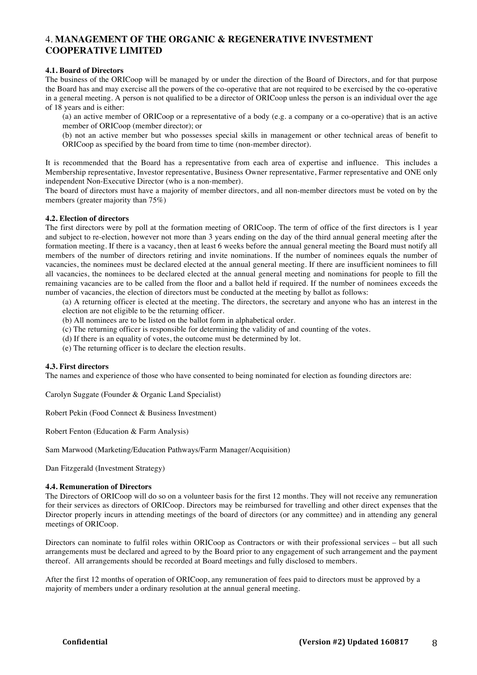## 4. **MANAGEMENT OF THE ORGANIC & REGENERATIVE INVESTMENT COOPERATIVE LIMITED**

#### **4.1. Board of Directors**

The business of the ORICoop will be managed by or under the direction of the Board of Directors, and for that purpose the Board has and may exercise all the powers of the co-operative that are not required to be exercised by the co-operative in a general meeting. A person is not qualified to be a director of ORICoop unless the person is an individual over the age of 18 years and is either:

(a) an active member of ORICoop or a representative of a body (e.g. a company or a co-operative) that is an active member of ORICoop (member director); or

(b) not an active member but who possesses special skills in management or other technical areas of benefit to ORICoop as specified by the board from time to time (non-member director).

It is recommended that the Board has a representative from each area of expertise and influence. This includes a Membership representative, Investor representative, Business Owner representative, Farmer representative and ONE only independent Non-Executive Director (who is a non-member).

The board of directors must have a majority of member directors, and all non-member directors must be voted on by the members (greater majority than 75%)

#### **4.2. Election of directors**

The first directors were by poll at the formation meeting of ORICoop. The term of office of the first directors is 1 year and subject to re-election, however not more than 3 years ending on the day of the third annual general meeting after the formation meeting. If there is a vacancy, then at least 6 weeks before the annual general meeting the Board must notify all members of the number of directors retiring and invite nominations. If the number of nominees equals the number of vacancies, the nominees must be declared elected at the annual general meeting. If there are insufficient nominees to fill all vacancies, the nominees to be declared elected at the annual general meeting and nominations for people to fill the remaining vacancies are to be called from the floor and a ballot held if required. If the number of nominees exceeds the number of vacancies, the election of directors must be conducted at the meeting by ballot as follows:

(a) A returning officer is elected at the meeting. The directors, the secretary and anyone who has an interest in the election are not eligible to be the returning officer.

- (b) All nominees are to be listed on the ballot form in alphabetical order.
- (c) The returning officer is responsible for determining the validity of and counting of the votes.
- (d) If there is an equality of votes, the outcome must be determined by lot.
- (e) The returning officer is to declare the election results.

#### **4.3. First directors**

The names and experience of those who have consented to being nominated for election as founding directors are:

Carolyn Suggate (Founder & Organic Land Specialist)

Robert Pekin (Food Connect & Business Investment)

Robert Fenton (Education & Farm Analysis)

Sam Marwood (Marketing/Education Pathways/Farm Manager/Acquisition)

Dan Fitzgerald (Investment Strategy)

#### **4.4. Remuneration of Directors**

The Directors of ORICoop will do so on a volunteer basis for the first 12 months. They will not receive any remuneration for their services as directors of ORICoop. Directors may be reimbursed for travelling and other direct expenses that the Director properly incurs in attending meetings of the board of directors (or any committee) and in attending any general meetings of ORICoop.

Directors can nominate to fulfil roles within ORICoop as Contractors or with their professional services – but all such arrangements must be declared and agreed to by the Board prior to any engagement of such arrangement and the payment thereof. All arrangements should be recorded at Board meetings and fully disclosed to members.

After the first 12 months of operation of ORICoop, any remuneration of fees paid to directors must be approved by a majority of members under a ordinary resolution at the annual general meeting.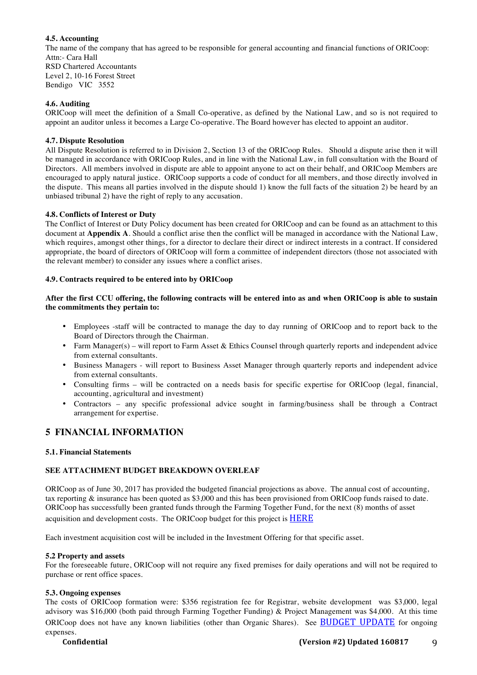## **4.5. Accounting**

The name of the company that has agreed to be responsible for general accounting and financial functions of ORICoop: Attn:- Cara Hall RSD Chartered Accountants Level 2, 10-16 Forest Street Bendigo VIC 3552

#### **4.6. Auditing**

ORICoop will meet the definition of a Small Co-operative, as defined by the National Law, and so is not required to appoint an auditor unless it becomes a Large Co-operative. The Board however has elected to appoint an auditor.

#### **4.7. Dispute Resolution**

All Dispute Resolution is referred to in Division 2, Section 13 of the ORICoop Rules.Should a dispute arise then it will be managed in accordance with ORICoop Rules, and in line with the National Law, in full consultation with the Board of Directors. All members involved in dispute are able to appoint anyone to act on their behalf, and ORICoop Members are encouraged to apply natural justice. ORICoop supports a code of conduct for all members, and those directly involved in the dispute. This means all parties involved in the dispute should 1) know the full facts of the situation 2) be heard by an unbiased tribunal 2) have the right of reply to any accusation.

#### **4.8. Conflicts of Interest or Duty**

The Conflict of Interest or Duty Policy document has been created for ORICoop and can be found as an attachment to this document at **Appendix A**. Should a conflict arise then the conflict will be managed in accordance with the National Law, which requires, amongst other things, for a director to declare their direct or indirect interests in a contract. If considered appropriate, the board of directors of ORICoop will form a committee of independent directors (those not associated with the relevant member) to consider any issues where a conflict arises.

#### **4.9. Contracts required to be entered into by ORICoop**

#### **After the first CCU offering, the following contracts will be entered into as and when ORICoop is able to sustain the commitments they pertain to:**

- Employees -staff will be contracted to manage the day to day running of ORICoop and to report back to the Board of Directors through the Chairman.
- Farm Manager(s) will report to Farm Asset & Ethics Counsel through quarterly reports and independent advice from external consultants.
- Business Managers will report to Business Asset Manager through quarterly reports and independent advice from external consultants.
- Consulting firms will be contracted on a needs basis for specific expertise for ORICoop (legal, financial, accounting, agricultural and investment)
- Contractors any specific professional advice sought in farming/business shall be through a Contract arrangement for expertise.

## **5 FINANCIAL INFORMATION**

#### **5.1. Financial Statements**

#### **SEE ATTACHMENT BUDGET BREAKDOWN OVERLEAF**

ORICoop as of June 30, 2017 has provided the budgeted financial projections as above. The annual cost of accounting, tax reporting & insurance has been quoted as \$3,000 and this has been provisioned from ORICoop funds raised to date. ORICoop has successfully been granted funds through the Farming Together Fund, for the next (8) months of asset acquisition and development costs. The ORICoop budget for this project is HERE

Each investment acquisition cost will be included in the Investment Offering for that specific asset.

#### **5.2 Property and assets**

For the foreseeable future, ORICoop will not require any fixed premises for daily operations and will not be required to purchase or rent office spaces.

#### **5.3. Ongoing expenses**

The costs of ORICoop formation were: \$356 registration fee for Registrar, website development was \$3,000, legal advisory was \$16,000 (both paid through Farming Together Funding) & Project Management was \$4,000. At this time ORICoop does not have any known liabilities (other than Organic Shares). See BUDGET UPDATE for ongoing expenses.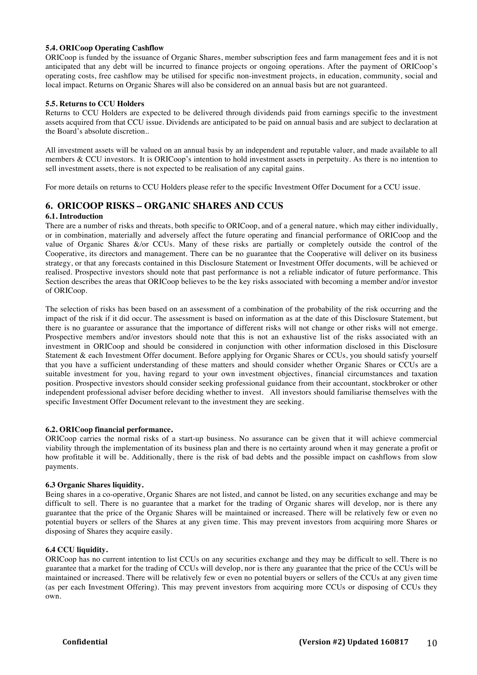#### **5.4. ORICoop Operating Cashflow**

ORICoop is funded by the issuance of Organic Shares, member subscription fees and farm management fees and it is not anticipated that any debt will be incurred to finance projects or ongoing operations. After the payment of ORICoop's operating costs, free cashflow may be utilised for specific non-investment projects, in education, community, social and local impact. Returns on Organic Shares will also be considered on an annual basis but are not guaranteed.

#### **5.5. Returns to CCU Holders**

Returns to CCU Holders are expected to be delivered through dividends paid from earnings specific to the investment assets acquired from that CCU issue. Dividends are anticipated to be paid on annual basis and are subject to declaration at the Board's absolute discretion..

All investment assets will be valued on an annual basis by an independent and reputable valuer, and made available to all members & CCU investors. It is ORICoop's intention to hold investment assets in perpetuity. As there is no intention to sell investment assets, there is not expected to be realisation of any capital gains.

For more details on returns to CCU Holders please refer to the specific Investment Offer Document for a CCU issue.

## **6. ORICOOP RISKS – ORGANIC SHARES AND CCUS**

#### **6.1. Introduction**

There are a number of risks and threats, both specific to ORICoop, and of a general nature, which may either individually, or in combination, materially and adversely affect the future operating and financial performance of ORICoop and the value of Organic Shares &/or CCUs. Many of these risks are partially or completely outside the control of the Cooperative, its directors and management. There can be no guarantee that the Cooperative will deliver on its business strategy, or that any forecasts contained in this Disclosure Statement or Investment Offer documents, will be achieved or realised. Prospective investors should note that past performance is not a reliable indicator of future performance. This Section describes the areas that ORICoop believes to be the key risks associated with becoming a member and/or investor of ORICoop.

The selection of risks has been based on an assessment of a combination of the probability of the risk occurring and the impact of the risk if it did occur. The assessment is based on information as at the date of this Disclosure Statement, but there is no guarantee or assurance that the importance of different risks will not change or other risks will not emerge. Prospective members and/or investors should note that this is not an exhaustive list of the risks associated with an investment in ORICoop and should be considered in conjunction with other information disclosed in this Disclosure Statement & each Investment Offer document. Before applying for Organic Shares or CCUs, you should satisfy yourself that you have a sufficient understanding of these matters and should consider whether Organic Shares or CCUs are a suitable investment for you, having regard to your own investment objectives, financial circumstances and taxation position. Prospective investors should consider seeking professional guidance from their accountant, stockbroker or other independent professional adviser before deciding whether to invest. All investors should familiarise themselves with the specific Investment Offer Document relevant to the investment they are seeking.

#### **6.2. ORICoop financial performance.**

ORICoop carries the normal risks of a start-up business. No assurance can be given that it will achieve commercial viability through the implementation of its business plan and there is no certainty around when it may generate a profit or how profitable it will be. Additionally, there is the risk of bad debts and the possible impact on cashflows from slow payments.

#### **6.3 Organic Shares liquidity.**

Being shares in a co-operative, Organic Shares are not listed, and cannot be listed, on any securities exchange and may be difficult to sell. There is no guarantee that a market for the trading of Organic shares will develop, nor is there any guarantee that the price of the Organic Shares will be maintained or increased. There will be relatively few or even no potential buyers or sellers of the Shares at any given time. This may prevent investors from acquiring more Shares or disposing of Shares they acquire easily.

### **6.4 CCU liquidity.**

ORICoop has no current intention to list CCUs on any securities exchange and they may be difficult to sell. There is no guarantee that a market for the trading of CCUs will develop, nor is there any guarantee that the price of the CCUs will be maintained or increased. There will be relatively few or even no potential buyers or sellers of the CCUs at any given time (as per each Investment Offering). This may prevent investors from acquiring more CCUs or disposing of CCUs they own.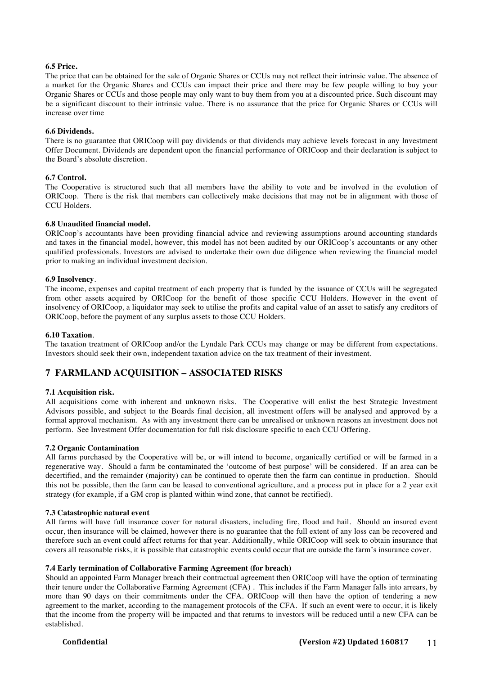#### **6.5 Price.**

The price that can be obtained for the sale of Organic Shares or CCUs may not reflect their intrinsic value. The absence of a market for the Organic Shares and CCUs can impact their price and there may be few people willing to buy your Organic Shares or CCUs and those people may only want to buy them from you at a discounted price. Such discount may be a significant discount to their intrinsic value. There is no assurance that the price for Organic Shares or CCUs will increase over time

#### **6.6 Dividends.**

There is no guarantee that ORICoop will pay dividends or that dividends may achieve levels forecast in any Investment Offer Document. Dividends are dependent upon the financial performance of ORICoop and their declaration is subject to the Board's absolute discretion.

#### **6.7 Control.**

The Cooperative is structured such that all members have the ability to vote and be involved in the evolution of ORICoop. There is the risk that members can collectively make decisions that may not be in alignment with those of CCU Holders.

## **6.8 Unaudited financial model.**

ORICoop's accountants have been providing financial advice and reviewing assumptions around accounting standards and taxes in the financial model, however, this model has not been audited by our ORICoop's accountants or any other qualified professionals. Investors are advised to undertake their own due diligence when reviewing the financial model prior to making an individual investment decision.

#### **6.9 Insolvency**.

The income, expenses and capital treatment of each property that is funded by the issuance of CCUs will be segregated from other assets acquired by ORICoop for the benefit of those specific CCU Holders. However in the event of insolvency of ORICoop, a liquidator may seek to utilise the profits and capital value of an asset to satisfy any creditors of ORICoop, before the payment of any surplus assets to those CCU Holders.

#### **6.10 Taxation**.

The taxation treatment of ORICoop and/or the Lyndale Park CCUs may change or may be different from expectations. Investors should seek their own, independent taxation advice on the tax treatment of their investment.

## **7 FARMLAND ACQUISITION – ASSOCIATED RISKS**

#### **7.1 Acquisition risk.**

All acquisitions come with inherent and unknown risks. The Cooperative will enlist the best Strategic Investment Advisors possible, and subject to the Boards final decision, all investment offers will be analysed and approved by a formal approval mechanism. As with any investment there can be unrealised or unknown reasons an investment does not perform. See Investment Offer documentation for full risk disclosure specific to each CCU Offering.

#### **7.2 Organic Contamination**

All farms purchased by the Cooperative will be, or will intend to become, organically certified or will be farmed in a regenerative way. Should a farm be contaminated the 'outcome of best purpose' will be considered. If an area can be decertified, and the remainder (majority) can be continued to operate then the farm can continue in production. Should this not be possible, then the farm can be leased to conventional agriculture, and a process put in place for a 2 year exit strategy (for example, if a GM crop is planted within wind zone, that cannot be rectified).

#### **7.3 Catastrophic natural event**

All farms will have full insurance cover for natural disasters, including fire, flood and hail. Should an insured event occur, then insurance will be claimed, however there is no guarantee that the full extent of any loss can be recovered and therefore such an event could affect returns for that year. Additionally, while ORICoop will seek to obtain insurance that covers all reasonable risks, it is possible that catastrophic events could occur that are outside the farm's insurance cover.

#### **7.4 Early termination of Collaborative Farming Agreement (for breach)**

Should an appointed Farm Manager breach their contractual agreement then ORICoop will have the option of terminating their tenure under the Collaborative Farming Agreement (CFA) . This includes if the Farm Manager falls into arrears, by more than 90 days on their commitments under the CFA. ORICoop will then have the option of tendering a new agreement to the market, according to the management protocols of the CFA. If such an event were to occur, it is likely that the income from the property will be impacted and that returns to investors will be reduced until a new CFA can be established.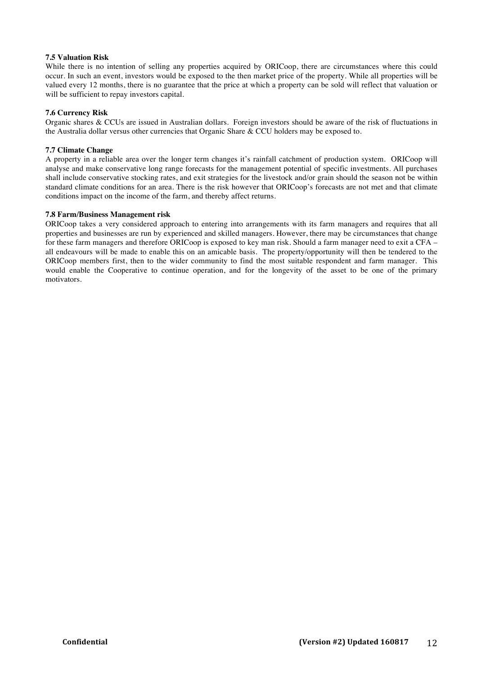### **7.5 Valuation Risk**

While there is no intention of selling any properties acquired by ORICoop, there are circumstances where this could occur. In such an event, investors would be exposed to the then market price of the property. While all properties will be valued every 12 months, there is no guarantee that the price at which a property can be sold will reflect that valuation or will be sufficient to repay investors capital.

#### **7.6 Currency Risk**

Organic shares & CCUs are issued in Australian dollars. Foreign investors should be aware of the risk of fluctuations in the Australia dollar versus other currencies that Organic Share & CCU holders may be exposed to.

#### **7.7 Climate Change**

A property in a reliable area over the longer term changes it's rainfall catchment of production system. ORICoop will analyse and make conservative long range forecasts for the management potential of specific investments. All purchases shall include conservative stocking rates, and exit strategies for the livestock and/or grain should the season not be within standard climate conditions for an area. There is the risk however that ORICoop's forecasts are not met and that climate conditions impact on the income of the farm, and thereby affect returns.

#### **7.8 Farm/Business Management risk**

ORICoop takes a very considered approach to entering into arrangements with its farm managers and requires that all properties and businesses are run by experienced and skilled managers. However, there may be circumstances that change for these farm managers and therefore ORICoop is exposed to key man risk. Should a farm manager need to exit a CFA – all endeavours will be made to enable this on an amicable basis. The property/opportunity will then be tendered to the ORICoop members first, then to the wider community to find the most suitable respondent and farm manager. This would enable the Cooperative to continue operation, and for the longevity of the asset to be one of the primary motivators.